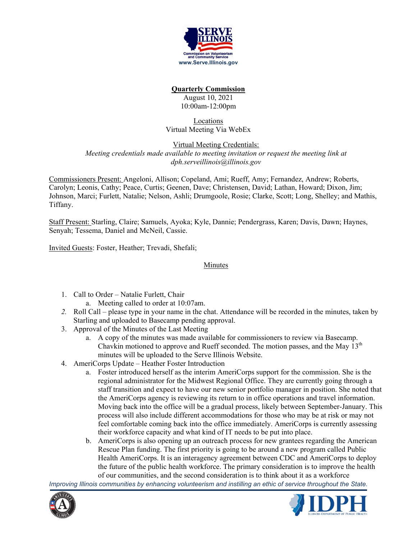

# **Quarterly Commission**

August 10, 2021 10:00am-12:00pm

### Locations Virtual Meeting Via WebEx

#### Virtual Meeting Credentials: *Meeting credentials made available to meeting invitation or request the meeting link at dph.serveillinois@illinois.gov*

Commissioners Present: Angeloni, Allison; Copeland, Ami; Rueff, Amy; Fernandez, Andrew; Roberts, Carolyn; Leonis, Cathy; Peace, Curtis; Geenen, Dave; Christensen, David; Lathan, Howard; Dixon, Jim; Johnson, Marci; Furlett, Natalie; Nelson, Ashli; Drumgoole, Rosie; Clarke, Scott; Long, Shelley; and Mathis, Tiffany.

Staff Present: Starling, Claire; Samuels, Ayoka; Kyle, Dannie; Pendergrass, Karen; Davis, Dawn; Haynes, Senyah; Tessema, Daniel and McNeil, Cassie.

Invited Guests: Foster, Heather; Trevadi, Shefali;

### Minutes

- 1. Call to Order Natalie Furlett, Chair
	- a. Meeting called to order at 10:07am.
- *2.* Roll Call please type in your name in the chat. Attendance will be recorded in the minutes, taken by Starling and uploaded to Basecamp pending approval.
- 3. Approval of the Minutes of the Last Meeting
	- a. A copy of the minutes was made available for commissioners to review via Basecamp. Chavkin motioned to approve and Rueff seconded. The motion passes, and the May  $13<sup>th</sup>$ minutes will be uploaded to the Serve Illinois Website.
- 4. AmeriCorps Update Heather Foster Introduction
	- a. Foster introduced herself as the interim AmeriCorps support for the commission. She is the regional administrator for the Midwest Regional Office. They are currently going through a staff transition and expect to have our new senior portfolio manager in position. She noted that the AmeriCorps agency is reviewing its return to in office operations and travel information. Moving back into the office will be a gradual process, likely between September-January. This process will also include different accommodations for those who may be at risk or may not feel comfortable coming back into the office immediately. AmeriCorps is currently assessing their workforce capacity and what kind of IT needs to be put into place.
	- b. AmeriCorps is also opening up an outreach process for new grantees regarding the American Rescue Plan funding. The first priority is going to be around a new program called Public Health AmeriCorps. It is an interagency agreement between CDC and AmeriCorps to deploy the future of the public health workforce. The primary consideration is to improve the health of our communities, and the second consideration is to think about it as a workforce



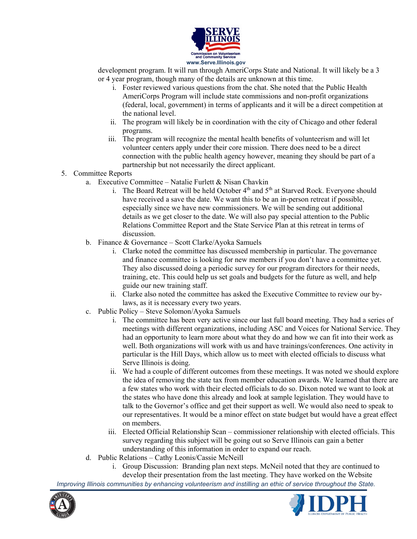

development program. It will run through AmeriCorps State and National. It will likely be a 3 or 4 year program, though many of the details are unknown at this time.

- i. Foster reviewed various questions from the chat. She noted that the Public Health AmeriCorps Program will include state commissions and non-profit organizations (federal, local, government) in terms of applicants and it will be a direct competition at the national level.
- ii. The program will likely be in coordination with the city of Chicago and other federal programs.
- iii. The program will recognize the mental health benefits of volunteerism and will let volunteer centers apply under their core mission. There does need to be a direct connection with the public health agency however, meaning they should be part of a partnership but not necessarily the direct applicant.

# 5. Committee Reports

- a. Executive Committee Natalie Furlett  $& Nisan Chavkin$ 
	- i. The Board Retreat will be held October  $4<sup>th</sup>$  and  $5<sup>th</sup>$  at Starved Rock. Everyone should have received a save the date. We want this to be an in-person retreat if possible, especially since we have new commissioners. We will be sending out additional details as we get closer to the date. We will also pay special attention to the Public Relations Committee Report and the State Service Plan at this retreat in terms of discussion.
- b. Finance & Governance Scott Clarke/Ayoka Samuels
	- i. Clarke noted the committee has discussed membership in particular. The governance and finance committee is looking for new members if you don't have a committee yet. They also discussed doing a periodic survey for our program directors for their needs, training, etc. This could help us set goals and budgets for the future as well, and help guide our new training staff.
	- ii. Clarke also noted the committee has asked the Executive Committee to review our bylaws, as it is necessary every two years.
- c. Public Policy Steve Solomon/Ayoka Samuels
	- i. The committee has been very active since our last full board meeting. They had a series of meetings with different organizations, including ASC and Voices for National Service. They had an opportunity to learn more about what they do and how we can fit into their work as well. Both organizations will work with us and have trainings/conferences. One activity in particular is the Hill Days, which allow us to meet with elected officials to discuss what Serve Illinois is doing.
	- ii. We had a couple of different outcomes from these meetings. It was noted we should explore the idea of removing the state tax from member education awards. We learned that there are a few states who work with their elected officials to do so. Dixon noted we want to look at the states who have done this already and look at sample legislation. They would have to talk to the Governor's office and get their support as well. We would also need to speak to our representatives. It would be a minor effect on state budget but would have a great effect on members.
	- iii. Elected Official Relationship Scan commissioner relationship with elected officials. This survey regarding this subject will be going out so Serve Illinois can gain a better understanding of this information in order to expand our reach.
- d. Public Relations Cathy Leonis/Cassie McNeill
	- i. Group Discussion: Branding plan next steps. McNeil noted that they are continued to develop their presentation from the last meeting. They have worked on the Website



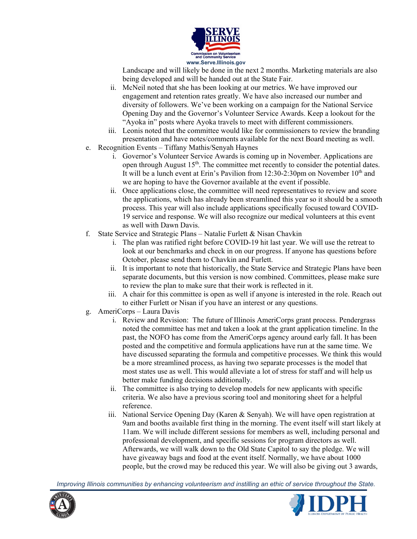

Landscape and will likely be done in the next 2 months. Marketing materials are also being developed and will be handed out at the State Fair.

- ii. McNeil noted that she has been looking at our metrics. We have improved our engagement and retention rates greatly. We have also increased our number and diversity of followers. We've been working on a campaign for the National Service Opening Day and the Governor's Volunteer Service Awards. Keep a lookout for the "Ayoka in" posts where Ayoka travels to meet with different commissioners.
- iii. Leonis noted that the committee would like for commissioners to review the branding presentation and have notes/comments available for the next Board meeting as well.
- e. Recognition Events Tiffany Mathis/Senyah Haynes
	- i. Governor's Volunteer Service Awards is coming up in November. Applications are open through August 15<sup>th</sup>. The committee met recently to consider the potential dates. It will be a lunch event at Erin's Pavilion from 12:30-2:30pm on November  $10<sup>th</sup>$  and we are hoping to have the Governor available at the event if possible.
	- ii. Once applications close, the committee will need representatives to review and score the applications, which has already been streamlined this year so it should be a smooth process. This year will also include applications specifically focused toward COVID-19 service and response. We will also recognize our medical volunteers at this event as well with Dawn Davis.
- f. State Service and Strategic Plans Natalie Furlett  $\&$  Nisan Chavkin
	- i. The plan was ratified right before COVID-19 hit last year. We will use the retreat to look at our benchmarks and check in on our progress. If anyone has questions before October, please send them to Chavkin and Furlett.
	- ii. It is important to note that historically, the State Service and Strategic Plans have been separate documents, but this version is now combined. Committees, please make sure to review the plan to make sure that their work is reflected in it.
	- iii. A chair for this committee is open as well if anyone is interested in the role. Reach out to either Furlett or Nisan if you have an interest or any questions.
- g. AmeriCorps Laura Davis
	- i. Review and Revision: The future of Illinois AmeriCorps grant process. Pendergrass noted the committee has met and taken a look at the grant application timeline. In the past, the NOFO has come from the AmeriCorps agency around early fall. It has been posted and the competitive and formula applications have run at the same time. We have discussed separating the formula and competitive processes. We think this would be a more streamlined process, as having two separate processes is the model that most states use as well. This would alleviate a lot of stress for staff and will help us better make funding decisions additionally.
	- ii. The committee is also trying to develop models for new applicants with specific criteria. We also have a previous scoring tool and monitoring sheet for a helpful reference.
	- iii. National Service Opening Day (Karen & Senyah). We will have open registration at 9am and booths available first thing in the morning. The event itself will start likely at 11am. We will include different sessions for members as well, including personal and professional development, and specific sessions for program directors as well. Afterwards, we will walk down to the Old State Capitol to say the pledge. We will have giveaway bags and food at the event itself. Normally, we have about 1000 people, but the crowd may be reduced this year. We will also be giving out 3 awards,



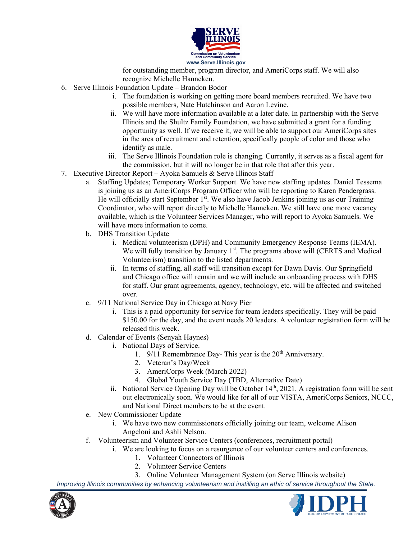

for outstanding member, program director, and AmeriCorps staff. We will also recognize Michelle Hanneken.

- 6. Serve Illinois Foundation Update Brandon Bodor
	- i. The foundation is working on getting more board members recruited. We have two possible members, Nate Hutchinson and Aaron Levine.
	- ii. We will have more information available at a later date. In partnership with the Serve Illinois and the Shultz Family Foundation, we have submitted a grant for a funding opportunity as well. If we receive it, we will be able to support our AmeriCorps sites in the area of recruitment and retention, specifically people of color and those who identify as male.
	- iii. The Serve Illinois Foundation role is changing. Currently, it serves as a fiscal agent for the commission, but it will no longer be in that role that after this year.
- 7. Executive Director Report Ayoka Samuels & Serve Illinois Staff
	- a. Staffing Updates; Temporary Worker Support. We have new staffing updates. Daniel Tessema is joining us as an AmeriCorps Program Officer who will be reporting to Karen Pendergrass. He will officially start September  $1<sup>st</sup>$ . We also have Jacob Jenkins joining us as our Training Coordinator, who will report directly to Michelle Hanneken. We still have one more vacancy available, which is the Volunteer Services Manager, who will report to Ayoka Samuels. We will have more information to come.
	- b. DHS Transition Update
		- i. Medical volunteerism (DPH) and Community Emergency Response Teams (IEMA). We will fully transition by January 1<sup>st</sup>. The programs above will (CERTS and Medical Volunteerism) transition to the listed departments.
		- ii. In terms of staffing, all staff will transition except for Dawn Davis. Our Springfield and Chicago office will remain and we will include an onboarding process with DHS for staff. Our grant agreements, agency, technology, etc. will be affected and switched over.
	- c. 9/11 National Service Day in Chicago at Navy Pier
		- i. This is a paid opportunity for service for team leaders specifically. They will be paid \$150.00 for the day, and the event needs 20 leaders. A volunteer registration form will be released this week.
	- d. Calendar of Events (Senyah Haynes)
		- i. National Days of Service.
			- 1.  $9/11$  Remembrance Day-This year is the  $20<sup>th</sup>$  Anniversary.
			- 2. Veteran's Day/Week
			- 3. AmeriCorps Week (March 2022)
			- 4. Global Youth Service Day (TBD, Alternative Date)
		- ii. National Service Opening Day will be October 14<sup>th</sup>, 2021. A registration form will be sent out electronically soon. We would like for all of our VISTA, AmeriCorps Seniors, NCCC, and National Direct members to be at the event.
	- e. New Commissioner Update
		- i. We have two new commissioners officially joining our team, welcome Alison Angeloni and Ashli Nelson.
	- f. Volunteerism and Volunteer Service Centers (conferences, recruitment portal)
		- i. We are looking to focus on a resurgence of our volunteer centers and conferences.
			- 1. Volunteer Connectors of Illinois
			- 2. Volunteer Service Centers
			- 3. Online Volunteer Management System (on Serve Illinois website)